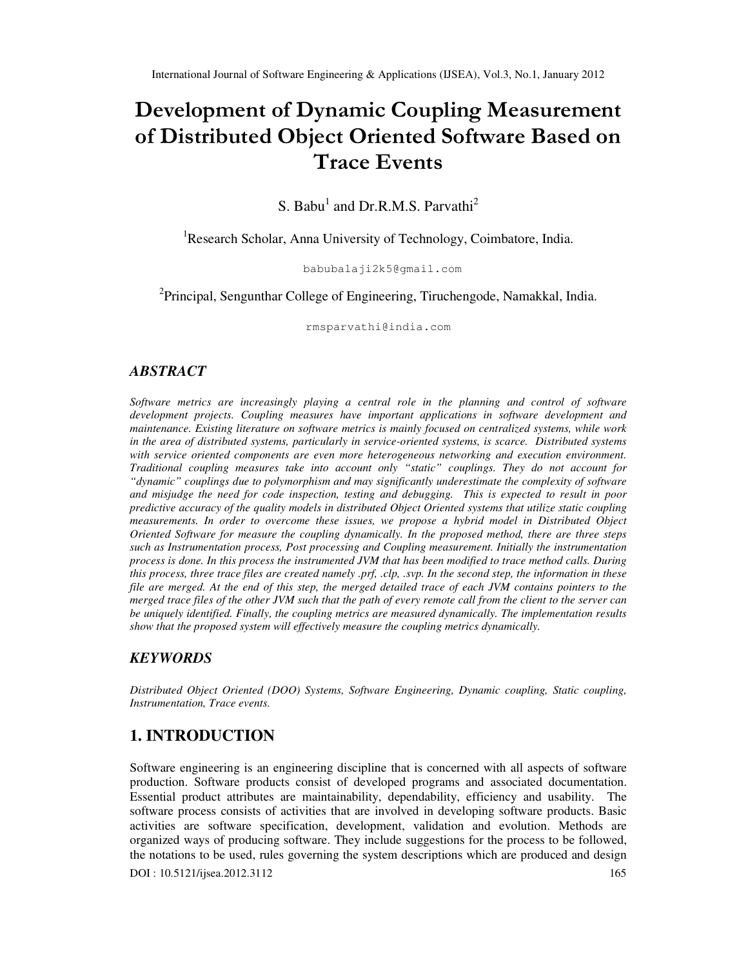# Development of Dynamic Coupling Measurement of Distributed Object Oriented Software Based on Trace Events

S. Babu<sup>1</sup> and Dr.R.M.S. Parvathi<sup>2</sup>

<sup>1</sup>Research Scholar, Anna University of Technology, Coimbatore, India.

babubalaji2k5@gmail.com

<sup>2</sup>Principal, Sengunthar College of Engineering, Tiruchengode, Namakkal, India.

rmsparvathi@india.com

## *ABSTRACT*

*Software metrics are increasingly playing a central role in the planning and control of software development projects. Coupling measures have important applications in software development and maintenance. Existing literature on software metrics is mainly focused on centralized systems, while work in the area of distributed systems, particularly in service-oriented systems, is scarce. Distributed systems with service oriented components are even more heterogeneous networking and execution environment. Traditional coupling measures take into account only "static" couplings. They do not account for "dynamic" couplings due to polymorphism and may significantly underestimate the complexity of software and misjudge the need for code inspection, testing and debugging. This is expected to result in poor predictive accuracy of the quality models in distributed Object Oriented systems that utilize static coupling measurements. In order to overcome these issues, we propose a hybrid model in Distributed Object Oriented Software for measure the coupling dynamically. In the proposed method, there are three steps such as Instrumentation process, Post processing and Coupling measurement. Initially the instrumentation process is done. In this process the instrumented JVM that has been modified to trace method calls. During this process, three trace files are created namely .prf, .clp, .svp. In the second step, the information in these file are merged. At the end of this step, the merged detailed trace of each JVM contains pointers to the merged trace files of the other JVM such that the path of every remote call from the client to the server can be uniquely identified. Finally, the coupling metrics are measured dynamically. The implementation results show that the proposed system will effectively measure the coupling metrics dynamically.* 

# *KEYWORDS*

*Distributed Object Oriented (DOO) Systems, Software Engineering, Dynamic coupling, Static coupling, Instrumentation, Trace events.* 

# **1. INTRODUCTION**

DOI : 10.5121/ijsea.2012.3112 165 Software engineering is an engineering discipline that is concerned with all aspects of software production. Software products consist of developed programs and associated documentation. Essential product attributes are maintainability, dependability, efficiency and usability. The software process consists of activities that are involved in developing software products. Basic activities are software specification, development, validation and evolution. Methods are organized ways of producing software. They include suggestions for the process to be followed, the notations to be used, rules governing the system descriptions which are produced and design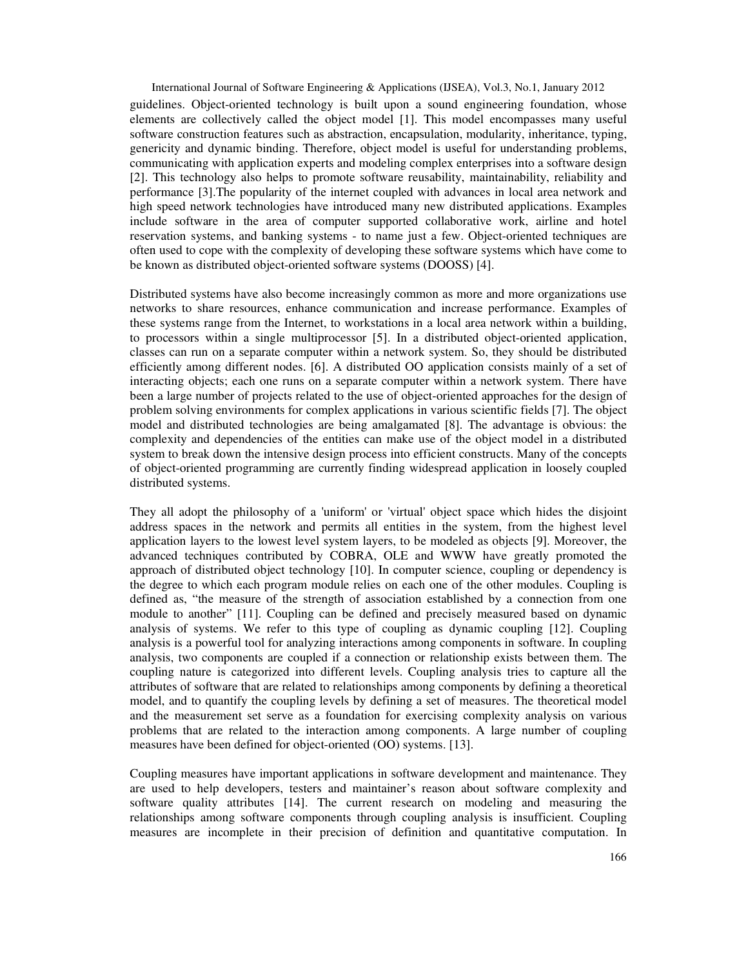International Journal of Software Engineering & Applications (IJSEA), Vol.3, No.1, January 2012 guidelines. Object-oriented technology is built upon a sound engineering foundation, whose elements are collectively called the object model [1]. This model encompasses many useful software construction features such as abstraction, encapsulation, modularity, inheritance, typing, genericity and dynamic binding. Therefore, object model is useful for understanding problems, communicating with application experts and modeling complex enterprises into a software design [2]. This technology also helps to promote software reusability, maintainability, reliability and performance [3].The popularity of the internet coupled with advances in local area network and high speed network technologies have introduced many new distributed applications. Examples include software in the area of computer supported collaborative work, airline and hotel reservation systems, and banking systems - to name just a few. Object-oriented techniques are often used to cope with the complexity of developing these software systems which have come to be known as distributed object-oriented software systems (DOOSS) [4].

Distributed systems have also become increasingly common as more and more organizations use networks to share resources, enhance communication and increase performance. Examples of these systems range from the Internet, to workstations in a local area network within a building, to processors within a single multiprocessor [5]. In a distributed object-oriented application, classes can run on a separate computer within a network system. So, they should be distributed efficiently among different nodes. [6]. A distributed OO application consists mainly of a set of interacting objects; each one runs on a separate computer within a network system. There have been a large number of projects related to the use of object-oriented approaches for the design of problem solving environments for complex applications in various scientific fields [7]. The object model and distributed technologies are being amalgamated [8]. The advantage is obvious: the complexity and dependencies of the entities can make use of the object model in a distributed system to break down the intensive design process into efficient constructs. Many of the concepts of object-oriented programming are currently finding widespread application in loosely coupled distributed systems.

They all adopt the philosophy of a 'uniform' or 'virtual' object space which hides the disjoint address spaces in the network and permits all entities in the system, from the highest level application layers to the lowest level system layers, to be modeled as objects [9]. Moreover, the advanced techniques contributed by COBRA, OLE and WWW have greatly promoted the approach of distributed object technology [10]. In computer science, coupling or dependency is the degree to which each program module relies on each one of the other modules. Coupling is defined as, "the measure of the strength of association established by a connection from one module to another" [11]. Coupling can be defined and precisely measured based on dynamic analysis of systems. We refer to this type of coupling as dynamic coupling [12]. Coupling analysis is a powerful tool for analyzing interactions among components in software. In coupling analysis, two components are coupled if a connection or relationship exists between them. The coupling nature is categorized into different levels. Coupling analysis tries to capture all the attributes of software that are related to relationships among components by defining a theoretical model, and to quantify the coupling levels by defining a set of measures. The theoretical model and the measurement set serve as a foundation for exercising complexity analysis on various problems that are related to the interaction among components. A large number of coupling measures have been defined for object-oriented (OO) systems. [13].

Coupling measures have important applications in software development and maintenance. They are used to help developers, testers and maintainer's reason about software complexity and software quality attributes [14]. The current research on modeling and measuring the relationships among software components through coupling analysis is insufficient. Coupling measures are incomplete in their precision of definition and quantitative computation. In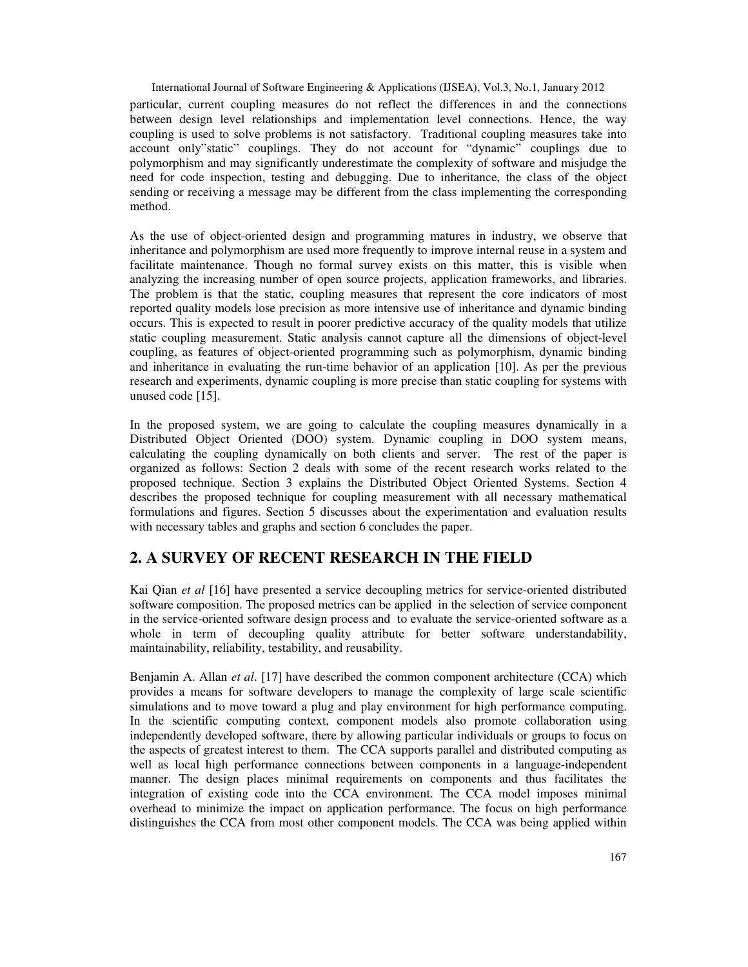International Journal of Software Engineering & Applications (IJSEA), Vol.3, No.1, January 2012 particular, current coupling measures do not reflect the differences in and the connections between design level relationships and implementation level connections. Hence, the way coupling is used to solve problems is not satisfactory. Traditional coupling measures take into account only"static" couplings. They do not account for "dynamic" couplings due to polymorphism and may significantly underestimate the complexity of software and misjudge the need for code inspection, testing and debugging. Due to inheritance, the class of the object sending or receiving a message may be different from the class implementing the corresponding method.

As the use of object-oriented design and programming matures in industry, we observe that inheritance and polymorphism are used more frequently to improve internal reuse in a system and facilitate maintenance. Though no formal survey exists on this matter, this is visible when analyzing the increasing number of open source projects, application frameworks, and libraries. The problem is that the static, coupling measures that represent the core indicators of most reported quality models lose precision as more intensive use of inheritance and dynamic binding occurs. This is expected to result in poorer predictive accuracy of the quality models that utilize static coupling measurement. Static analysis cannot capture all the dimensions of object-level coupling, as features of object-oriented programming such as polymorphism, dynamic binding and inheritance in evaluating the run-time behavior of an application [10]. As per the previous research and experiments, dynamic coupling is more precise than static coupling for systems with unused code [15].

In the proposed system, we are going to calculate the coupling measures dynamically in a Distributed Object Oriented (DOO) system. Dynamic coupling in DOO system means, calculating the coupling dynamically on both clients and server. The rest of the paper is organized as follows: Section 2 deals with some of the recent research works related to the proposed technique. Section 3 explains the Distributed Object Oriented Systems. Section 4 describes the proposed technique for coupling measurement with all necessary mathematical formulations and figures. Section 5 discusses about the experimentation and evaluation results with necessary tables and graphs and section 6 concludes the paper.

# **2. A SURVEY OF RECENT RESEARCH IN THE FIELD**

Kai Qian *et al* [16] have presented a service decoupling metrics for service-oriented distributed software composition. The proposed metrics can be applied in the selection of service component in the service-oriented software design process and to evaluate the service-oriented software as a whole in term of decoupling quality attribute for better software understandability, maintainability, reliability, testability, and reusability.

Benjamin A. Allan *et al*. [17] have described the common component architecture (CCA) which provides a means for software developers to manage the complexity of large scale scientific simulations and to move toward a plug and play environment for high performance computing. In the scientific computing context, component models also promote collaboration using independently developed software, there by allowing particular individuals or groups to focus on the aspects of greatest interest to them. The CCA supports parallel and distributed computing as well as local high performance connections between components in a language-independent manner. The design places minimal requirements on components and thus facilitates the integration of existing code into the CCA environment. The CCA model imposes minimal overhead to minimize the impact on application performance. The focus on high performance distinguishes the CCA from most other component models. The CCA was being applied within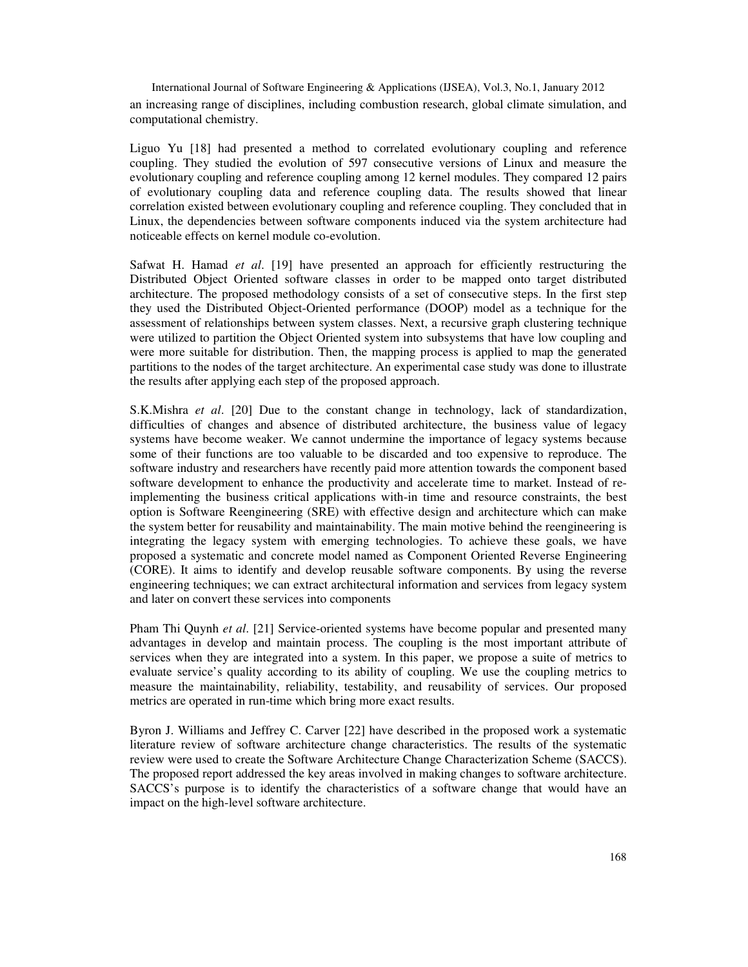International Journal of Software Engineering & Applications (IJSEA), Vol.3, No.1, January 2012 an increasing range of disciplines, including combustion research, global climate simulation, and computational chemistry.

Liguo Yu [18] had presented a method to correlated evolutionary coupling and reference coupling. They studied the evolution of 597 consecutive versions of Linux and measure the evolutionary coupling and reference coupling among 12 kernel modules. They compared 12 pairs of evolutionary coupling data and reference coupling data. The results showed that linear correlation existed between evolutionary coupling and reference coupling. They concluded that in Linux, the dependencies between software components induced via the system architecture had noticeable effects on kernel module co-evolution.

Safwat H. Hamad *et al*. [19] have presented an approach for efficiently restructuring the Distributed Object Oriented software classes in order to be mapped onto target distributed architecture. The proposed methodology consists of a set of consecutive steps. In the first step they used the Distributed Object-Oriented performance (DOOP) model as a technique for the assessment of relationships between system classes. Next, a recursive graph clustering technique were utilized to partition the Object Oriented system into subsystems that have low coupling and were more suitable for distribution. Then, the mapping process is applied to map the generated partitions to the nodes of the target architecture. An experimental case study was done to illustrate the results after applying each step of the proposed approach.

S.K.Mishra *et al*. [20] Due to the constant change in technology, lack of standardization, difficulties of changes and absence of distributed architecture, the business value of legacy systems have become weaker. We cannot undermine the importance of legacy systems because some of their functions are too valuable to be discarded and too expensive to reproduce. The software industry and researchers have recently paid more attention towards the component based software development to enhance the productivity and accelerate time to market. Instead of reimplementing the business critical applications with-in time and resource constraints, the best option is Software Reengineering (SRE) with effective design and architecture which can make the system better for reusability and maintainability. The main motive behind the reengineering is integrating the legacy system with emerging technologies. To achieve these goals, we have proposed a systematic and concrete model named as Component Oriented Reverse Engineering (CORE). It aims to identify and develop reusable software components. By using the reverse engineering techniques; we can extract architectural information and services from legacy system and later on convert these services into components

Pham Thi Quynh *et al*. [21] Service-oriented systems have become popular and presented many advantages in develop and maintain process. The coupling is the most important attribute of services when they are integrated into a system. In this paper, we propose a suite of metrics to evaluate service's quality according to its ability of coupling. We use the coupling metrics to measure the maintainability, reliability, testability, and reusability of services. Our proposed metrics are operated in run-time which bring more exact results.

Byron J. Williams and Jeffrey C. Carver [22] have described in the proposed work a systematic literature review of software architecture change characteristics. The results of the systematic review were used to create the Software Architecture Change Characterization Scheme (SACCS). The proposed report addressed the key areas involved in making changes to software architecture. SACCS's purpose is to identify the characteristics of a software change that would have an impact on the high-level software architecture.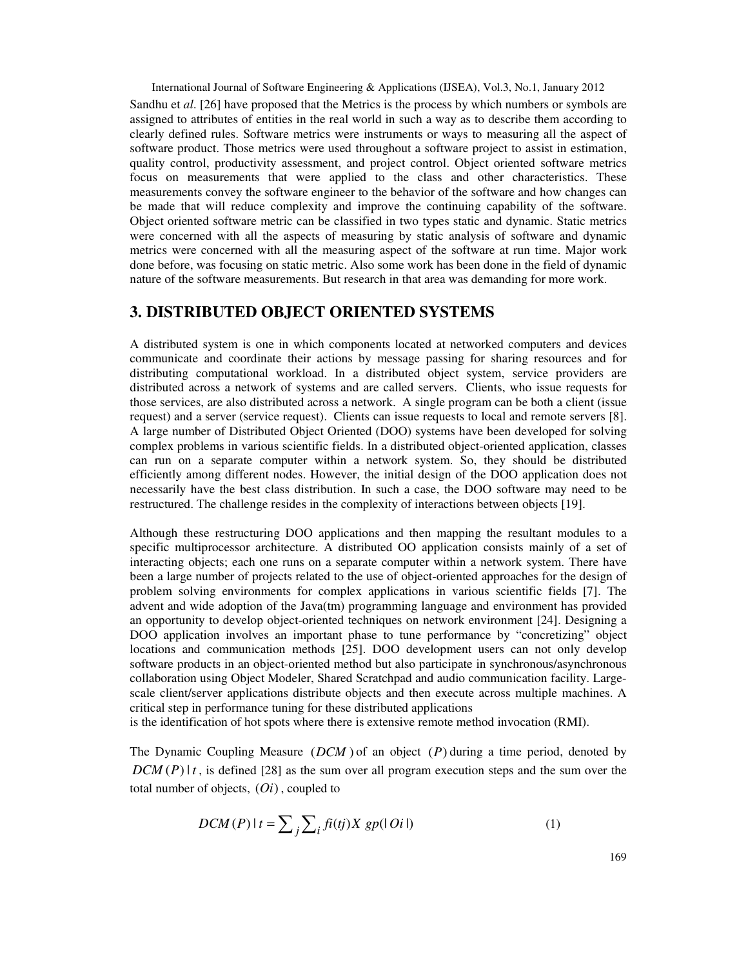International Journal of Software Engineering & Applications (IJSEA), Vol.3, No.1, January 2012 Sandhu et *al*. [26] have proposed that the Metrics is the process by which numbers or symbols are assigned to attributes of entities in the real world in such a way as to describe them according to clearly defined rules. Software metrics were instruments or ways to measuring all the aspect of software product. Those metrics were used throughout a software project to assist in estimation, quality control, productivity assessment, and project control. Object oriented software metrics focus on measurements that were applied to the class and other characteristics. These measurements convey the software engineer to the behavior of the software and how changes can be made that will reduce complexity and improve the continuing capability of the software. Object oriented software metric can be classified in two types static and dynamic. Static metrics were concerned with all the aspects of measuring by static analysis of software and dynamic metrics were concerned with all the measuring aspect of the software at run time. Major work done before, was focusing on static metric. Also some work has been done in the field of dynamic nature of the software measurements. But research in that area was demanding for more work.

# **3. DISTRIBUTED OBJECT ORIENTED SYSTEMS**

A distributed system is one in which components located at networked computers and devices communicate and coordinate their actions by message passing for sharing resources and for distributing computational workload. In a distributed object system, service providers are distributed across a network of systems and are called servers. Clients, who issue requests for those services, are also distributed across a network. A single program can be both a client (issue request) and a server (service request). Clients can issue requests to local and remote servers [8]. A large number of Distributed Object Oriented (DOO) systems have been developed for solving complex problems in various scientific fields. In a distributed object-oriented application, classes can run on a separate computer within a network system. So, they should be distributed efficiently among different nodes. However, the initial design of the DOO application does not necessarily have the best class distribution. In such a case, the DOO software may need to be restructured. The challenge resides in the complexity of interactions between objects [19].

Although these restructuring DOO applications and then mapping the resultant modules to a specific multiprocessor architecture. A distributed OO application consists mainly of a set of interacting objects; each one runs on a separate computer within a network system. There have been a large number of projects related to the use of object-oriented approaches for the design of problem solving environments for complex applications in various scientific fields [7]. The advent and wide adoption of the Java(tm) programming language and environment has provided an opportunity to develop object-oriented techniques on network environment [24]. Designing a DOO application involves an important phase to tune performance by "concretizing" object locations and communication methods [25]. DOO development users can not only develop software products in an object-oriented method but also participate in synchronous/asynchronous collaboration using Object Modeler, Shared Scratchpad and audio communication facility. Largescale client/server applications distribute objects and then execute across multiple machines. A critical step in performance tuning for these distributed applications

is the identification of hot spots where there is extensive remote method invocation (RMI).

The Dynamic Coupling Measure (*DCM* ) of an object (*P*) during a time period, denoted by  $DCM(P)|t$ , is defined [28] as the sum over all program execution steps and the sum over the total number of objects, (*Oi*) , coupled to

$$
DCM(P) \mid t = \sum_{j} \sum_{i} f(ij) X \, gp(\mid O(i \mid)) \tag{1}
$$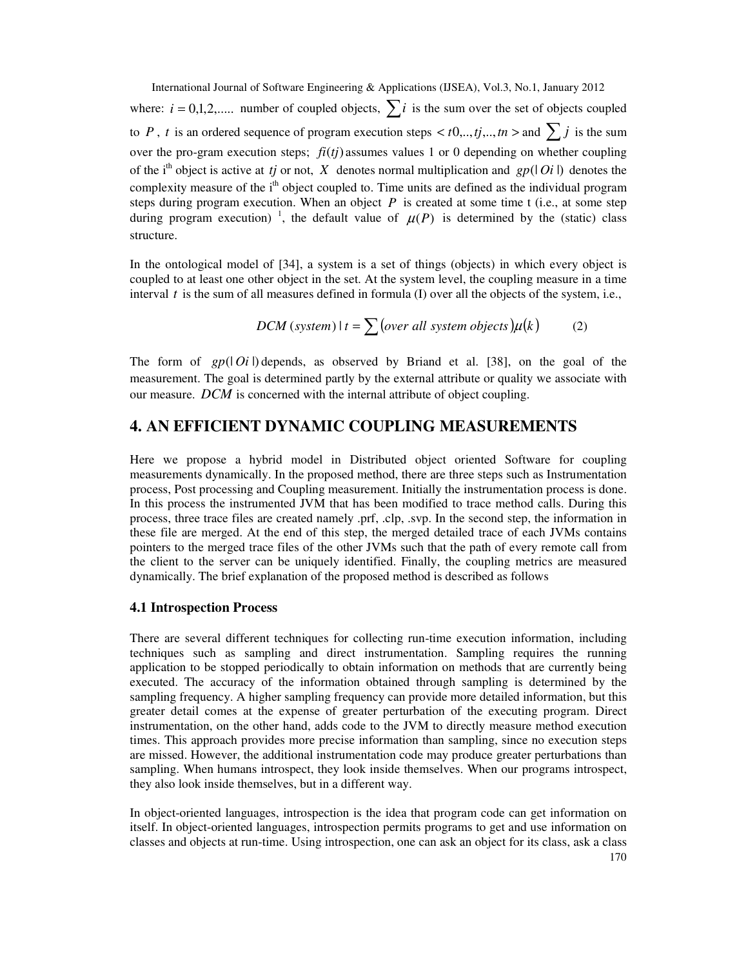International Journal of Software Engineering & Applications (IJSEA), Vol.3, No.1, January 2012 where:  $i = 0,1,2,...$  number of coupled objects,  $\sum_{i=1}^{n} i$  is the sum over the set of objects coupled to *P*, *t* is an ordered sequence of program execution steps  $< t0, \ldots, tj, \ldots, tn$  and  $\sum j$  is the sum over the pro-gram execution steps;  $f_i(t_j)$  assumes values 1 or 0 depending on whether coupling of the i<sup>th</sup> object is active at *tj* or not, *X* denotes normal multiplication and *gp*( $|Oi|$ ) denotes the complexity measure of the i<sup>th</sup> object coupled to. Time units are defined as the individual program steps during program execution. When an object  $P$  is created at some time t (i.e., at some step during program execution)<sup>1</sup>, the default value of  $\mu(P)$  is determined by the (static) class structure.

In the ontological model of [34], a system is a set of things (objects) in which every object is coupled to at least one other object in the set. At the system level, the coupling measure in a time interval *t* is the sum of all measures defined in formula (I) over all the objects of the system, i.e.,

$$
DCM \text{ (system)} \, | \, t = \sum \text{(over all system objects)} \mu(k) \tag{2}
$$

The form of  $gp(|Oi|)$  depends, as observed by Briand et al. [38], on the goal of the measurement. The goal is determined partly by the external attribute or quality we associate with our measure. *DCM* is concerned with the internal attribute of object coupling.

# **4. AN EFFICIENT DYNAMIC COUPLING MEASUREMENTS**

Here we propose a hybrid model in Distributed object oriented Software for coupling measurements dynamically. In the proposed method, there are three steps such as Instrumentation process, Post processing and Coupling measurement. Initially the instrumentation process is done. In this process the instrumented JVM that has been modified to trace method calls. During this process, three trace files are created namely .prf, .clp, .svp. In the second step, the information in these file are merged. At the end of this step, the merged detailed trace of each JVMs contains pointers to the merged trace files of the other JVMs such that the path of every remote call from the client to the server can be uniquely identified. Finally, the coupling metrics are measured dynamically. The brief explanation of the proposed method is described as follows

### **4.1 Introspection Process**

There are several different techniques for collecting run-time execution information, including techniques such as sampling and direct instrumentation. Sampling requires the running application to be stopped periodically to obtain information on methods that are currently being executed. The accuracy of the information obtained through sampling is determined by the sampling frequency. A higher sampling frequency can provide more detailed information, but this greater detail comes at the expense of greater perturbation of the executing program. Direct instrumentation, on the other hand, adds code to the JVM to directly measure method execution times. This approach provides more precise information than sampling, since no execution steps are missed. However, the additional instrumentation code may produce greater perturbations than sampling. When humans introspect, they look inside themselves. When our programs introspect, they also look inside themselves, but in a different way.

In object-oriented languages, introspection is the idea that program code can get information on itself. In object-oriented languages, introspection permits programs to get and use information on classes and objects at run-time. Using introspection, one can ask an object for its class, ask a class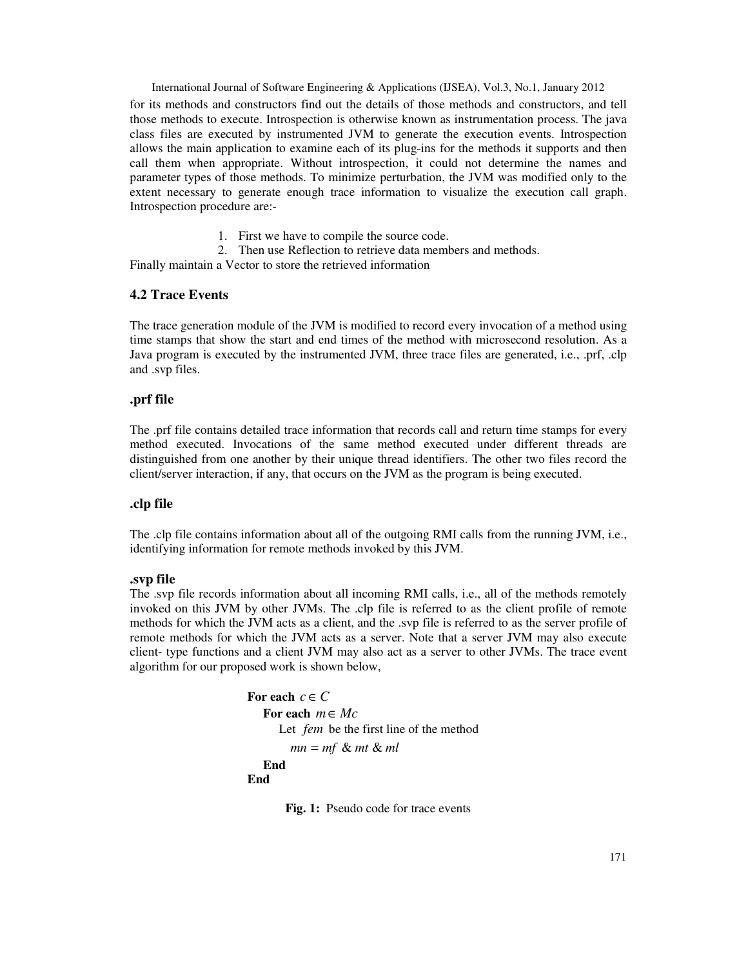International Journal of Software Engineering & Applications (IJSEA), Vol.3, No.1, January 2012 for its methods and constructors find out the details of those methods and constructors, and tell those methods to execute. Introspection is otherwise known as instrumentation process. The java class files are executed by instrumented JVM to generate the execution events. Introspection allows the main application to examine each of its plug-ins for the methods it supports and then call them when appropriate. Without introspection, it could not determine the names and parameter types of those methods. To minimize perturbation, the JVM was modified only to the extent necessary to generate enough trace information to visualize the execution call graph. Introspection procedure are:-

- 1. First we have to compile the source code.
- 2. Then use Reflection to retrieve data members and methods.

Finally maintain a Vector to store the retrieved information

# **4.2 Trace Events**

The trace generation module of the JVM is modified to record every invocation of a method using time stamps that show the start and end times of the method with microsecond resolution. As a Java program is executed by the instrumented JVM, three trace files are generated, i.e., .prf, .clp and .svp files.

#### **.prf file**

The .prf file contains detailed trace information that records call and return time stamps for every method executed. Invocations of the same method executed under different threads are distinguished from one another by their unique thread identifiers. The other two files record the client/server interaction, if any, that occurs on the JVM as the program is being executed.

### **.clp file**

The .clp file contains information about all of the outgoing RMI calls from the running JVM, i.e., identifying information for remote methods invoked by this JVM.

#### **.svp file**

The .svp file records information about all incoming RMI calls, i.e., all of the methods remotely invoked on this JVM by other JVMs. The .clp file is referred to as the client profile of remote methods for which the JVM acts as a client, and the .svp file is referred to as the server profile of remote methods for which the JVM acts as a server. Note that a server JVM may also execute client- type functions and a client JVM may also act as a server to other JVMs. The trace event algorithm for our proposed work is shown below,

```
For each c \in C For each m∈ Mc
      Let fem be the first line of the method 
        mn = mf & mt & ml
   End 
End
```
Fig. 1: Pseudo code for trace events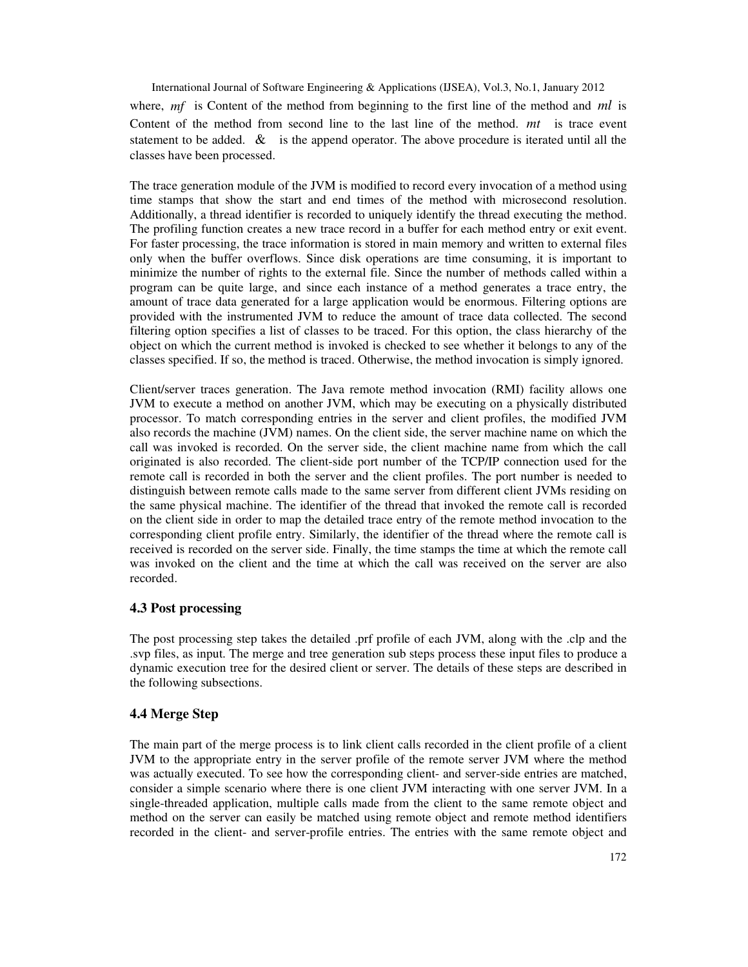International Journal of Software Engineering & Applications (IJSEA), Vol.3, No.1, January 2012 where, *mf* is Content of the method from beginning to the first line of the method and *ml* is Content of the method from second line to the last line of the method. *mt* is trace event statement to be added.  $\&$  is the append operator. The above procedure is iterated until all the classes have been processed.

The trace generation module of the JVM is modified to record every invocation of a method using time stamps that show the start and end times of the method with microsecond resolution. Additionally, a thread identifier is recorded to uniquely identify the thread executing the method. The profiling function creates a new trace record in a buffer for each method entry or exit event. For faster processing, the trace information is stored in main memory and written to external files only when the buffer overflows. Since disk operations are time consuming, it is important to minimize the number of rights to the external file. Since the number of methods called within a program can be quite large, and since each instance of a method generates a trace entry, the amount of trace data generated for a large application would be enormous. Filtering options are provided with the instrumented JVM to reduce the amount of trace data collected. The second filtering option specifies a list of classes to be traced. For this option, the class hierarchy of the object on which the current method is invoked is checked to see whether it belongs to any of the classes specified. If so, the method is traced. Otherwise, the method invocation is simply ignored.

Client/server traces generation. The Java remote method invocation (RMI) facility allows one JVM to execute a method on another JVM, which may be executing on a physically distributed processor. To match corresponding entries in the server and client profiles, the modified JVM also records the machine (JVM) names. On the client side, the server machine name on which the call was invoked is recorded. On the server side, the client machine name from which the call originated is also recorded. The client-side port number of the TCP/IP connection used for the remote call is recorded in both the server and the client profiles. The port number is needed to distinguish between remote calls made to the same server from different client JVMs residing on the same physical machine. The identifier of the thread that invoked the remote call is recorded on the client side in order to map the detailed trace entry of the remote method invocation to the corresponding client profile entry. Similarly, the identifier of the thread where the remote call is received is recorded on the server side. Finally, the time stamps the time at which the remote call was invoked on the client and the time at which the call was received on the server are also recorded.

### **4.3 Post processing**

The post processing step takes the detailed .prf profile of each JVM, along with the .clp and the .svp files, as input. The merge and tree generation sub steps process these input files to produce a dynamic execution tree for the desired client or server. The details of these steps are described in the following subsections.

### **4.4 Merge Step**

The main part of the merge process is to link client calls recorded in the client profile of a client JVM to the appropriate entry in the server profile of the remote server JVM where the method was actually executed. To see how the corresponding client- and server-side entries are matched, consider a simple scenario where there is one client JVM interacting with one server JVM. In a single-threaded application, multiple calls made from the client to the same remote object and method on the server can easily be matched using remote object and remote method identifiers recorded in the client- and server-profile entries. The entries with the same remote object and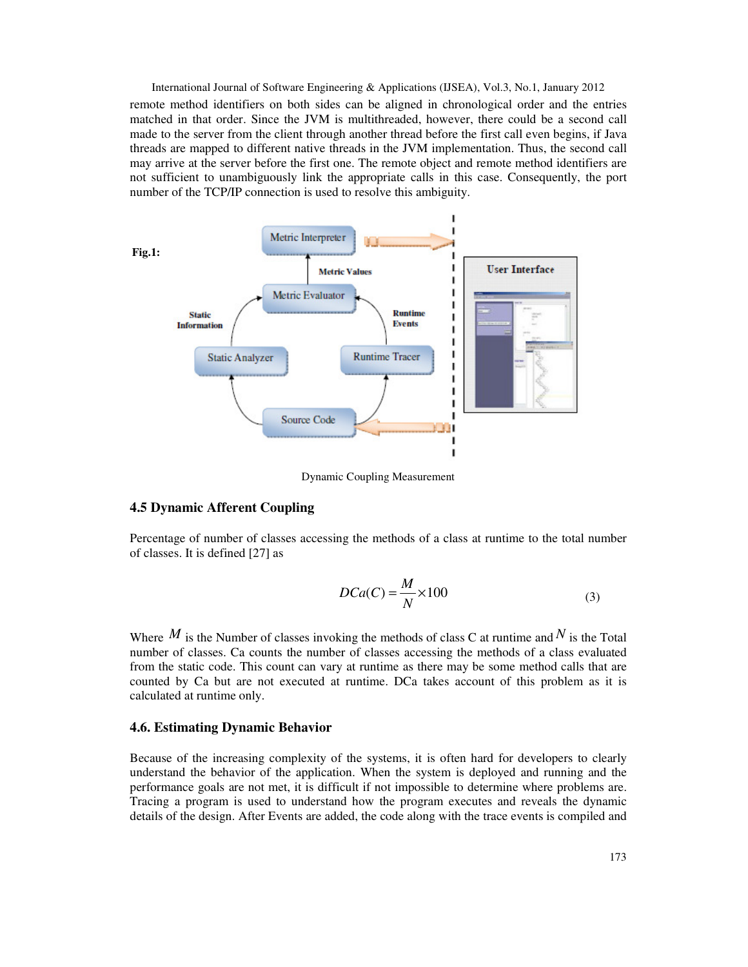International Journal of Software Engineering & Applications (IJSEA), Vol.3, No.1, January 2012 remote method identifiers on both sides can be aligned in chronological order and the entries matched in that order. Since the JVM is multithreaded, however, there could be a second call made to the server from the client through another thread before the first call even begins, if Java threads are mapped to different native threads in the JVM implementation. Thus, the second call may arrive at the server before the first one. The remote object and remote method identifiers are not sufficient to unambiguously link the appropriate calls in this case. Consequently, the port number of the TCP/IP connection is used to resolve this ambiguity.



Dynamic Coupling Measurement

#### **4.5 Dynamic Afferent Coupling**

Percentage of number of classes accessing the methods of a class at runtime to the total number of classes. It is defined [27] as

$$
DCa(C) = \frac{M}{N} \times 100\tag{3}
$$

Where  $M$  is the Number of classes invoking the methods of class C at runtime and  $N$  is the Total number of classes. Ca counts the number of classes accessing the methods of a class evaluated from the static code. This count can vary at runtime as there may be some method calls that are counted by Ca but are not executed at runtime. DCa takes account of this problem as it is calculated at runtime only.

#### **4.6. Estimating Dynamic Behavior**

Because of the increasing complexity of the systems, it is often hard for developers to clearly understand the behavior of the application. When the system is deployed and running and the performance goals are not met, it is difficult if not impossible to determine where problems are. Tracing a program is used to understand how the program executes and reveals the dynamic details of the design. After Events are added, the code along with the trace events is compiled and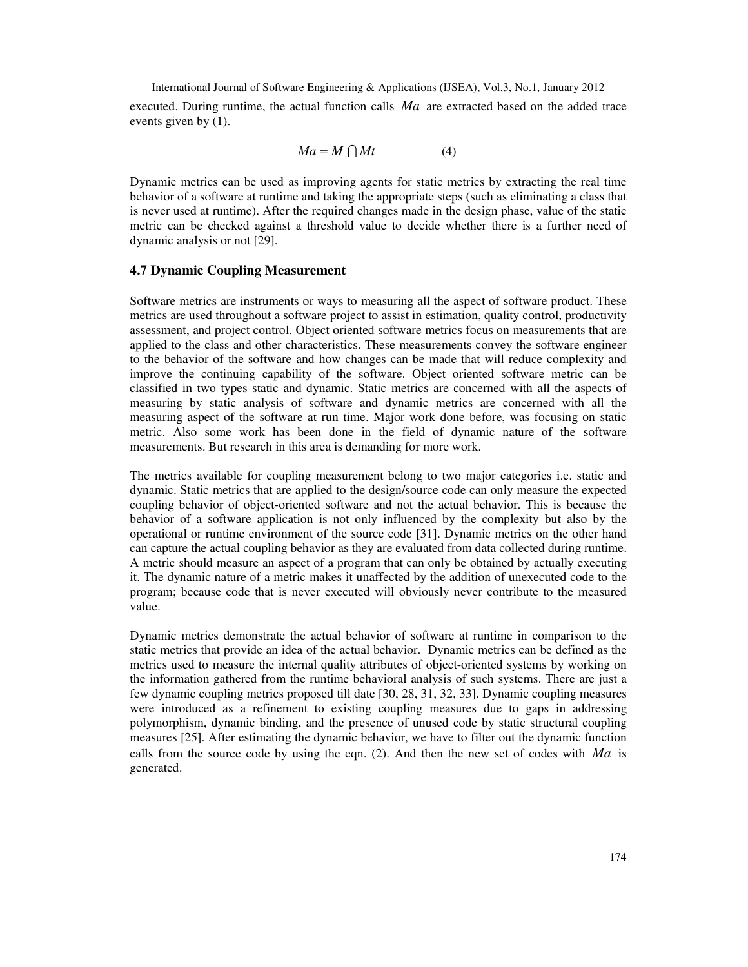International Journal of Software Engineering & Applications (IJSEA), Vol.3, No.1, January 2012 executed. During runtime, the actual function calls *Ma* are extracted based on the added trace events given by (1).

$$
Ma = M \bigcap Mt \tag{4}
$$

Dynamic metrics can be used as improving agents for static metrics by extracting the real time behavior of a software at runtime and taking the appropriate steps (such as eliminating a class that is never used at runtime). After the required changes made in the design phase, value of the static metric can be checked against a threshold value to decide whether there is a further need of dynamic analysis or not [29].

#### **4.7 Dynamic Coupling Measurement**

Software metrics are instruments or ways to measuring all the aspect of software product. These metrics are used throughout a software project to assist in estimation, quality control, productivity assessment, and project control. Object oriented software metrics focus on measurements that are applied to the class and other characteristics. These measurements convey the software engineer to the behavior of the software and how changes can be made that will reduce complexity and improve the continuing capability of the software. Object oriented software metric can be classified in two types static and dynamic. Static metrics are concerned with all the aspects of measuring by static analysis of software and dynamic metrics are concerned with all the measuring aspect of the software at run time. Major work done before, was focusing on static metric. Also some work has been done in the field of dynamic nature of the software measurements. But research in this area is demanding for more work.

The metrics available for coupling measurement belong to two major categories i.e. static and dynamic. Static metrics that are applied to the design/source code can only measure the expected coupling behavior of object-oriented software and not the actual behavior. This is because the behavior of a software application is not only influenced by the complexity but also by the operational or runtime environment of the source code [31]. Dynamic metrics on the other hand can capture the actual coupling behavior as they are evaluated from data collected during runtime. A metric should measure an aspect of a program that can only be obtained by actually executing it. The dynamic nature of a metric makes it unaffected by the addition of unexecuted code to the program; because code that is never executed will obviously never contribute to the measured value.

Dynamic metrics demonstrate the actual behavior of software at runtime in comparison to the static metrics that provide an idea of the actual behavior. Dynamic metrics can be defined as the metrics used to measure the internal quality attributes of object-oriented systems by working on the information gathered from the runtime behavioral analysis of such systems. There are just a few dynamic coupling metrics proposed till date [30, 28, 31, 32, 33]. Dynamic coupling measures were introduced as a refinement to existing coupling measures due to gaps in addressing polymorphism, dynamic binding, and the presence of unused code by static structural coupling measures [25]. After estimating the dynamic behavior, we have to filter out the dynamic function calls from the source code by using the eqn. (2). And then the new set of codes with *Ma* is generated.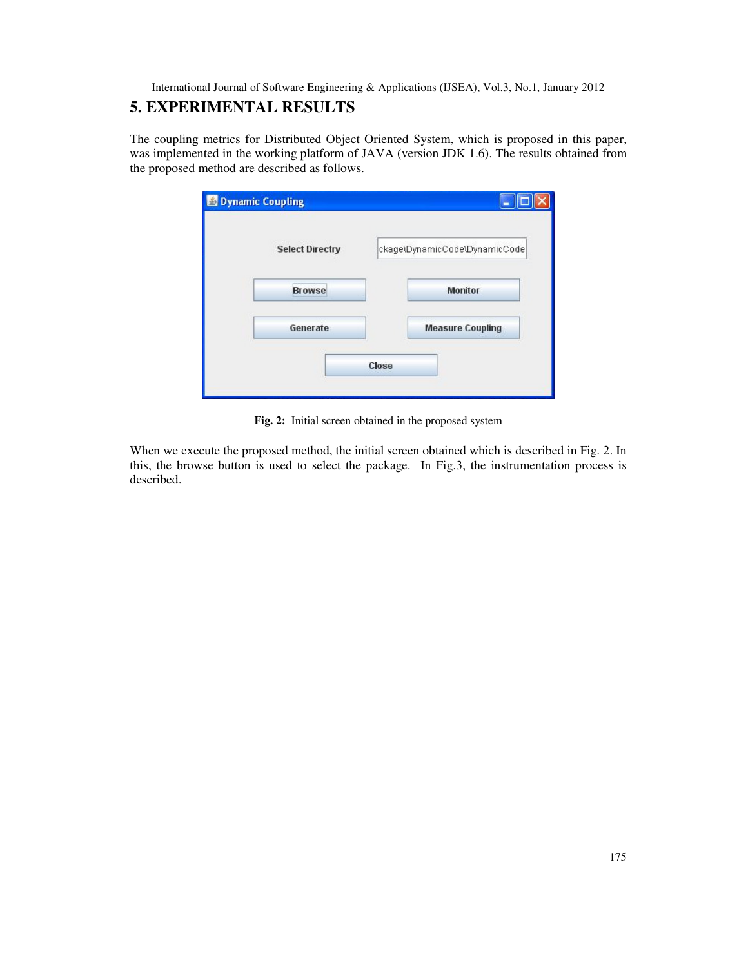# **5. EXPERIMENTAL RESULTS**

The coupling metrics for Distributed Object Oriented System, which is proposed in this paper, was implemented in the working platform of JAVA (version JDK 1.6). The results obtained from the proposed method are described as follows.

| <b>Select Directry</b> | ckage\DynamicCode\DynamicCode |
|------------------------|-------------------------------|
|                        |                               |
| <b>Browse</b>          | <b>Monitor</b>                |
| Generate               | <b>Measure Coupling</b>       |

**Fig. 2:** Initial screen obtained in the proposed system

When we execute the proposed method, the initial screen obtained which is described in Fig. 2. In this, the browse button is used to select the package. In Fig.3, the instrumentation process is described.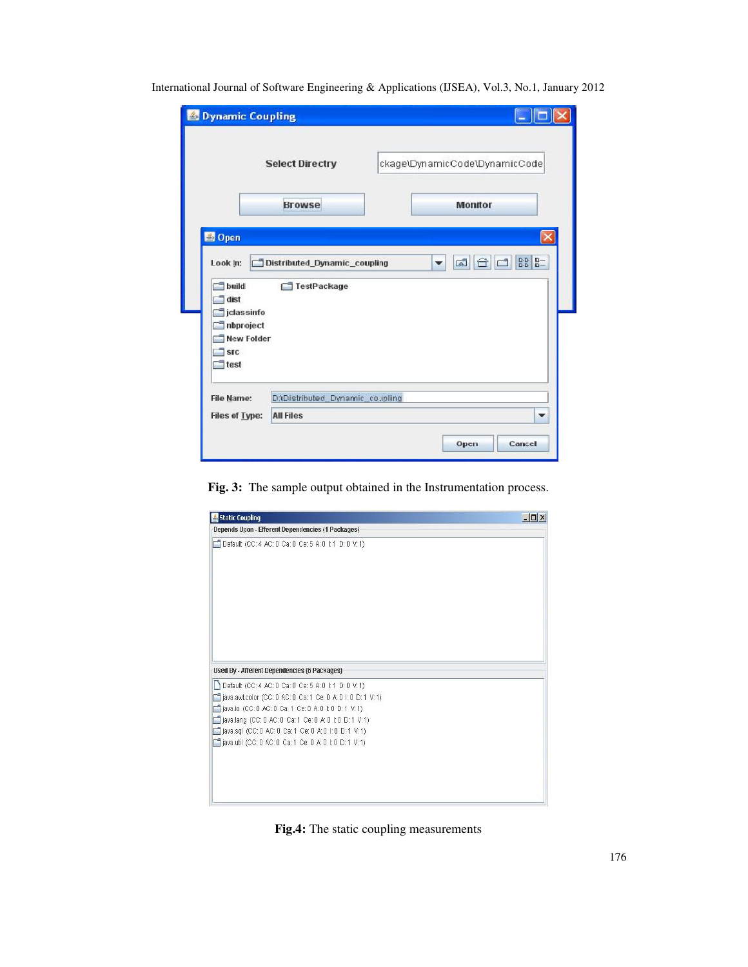| <b>S</b> Dynamic Coupling                                                                                       |                                                      |                               |
|-----------------------------------------------------------------------------------------------------------------|------------------------------------------------------|-------------------------------|
|                                                                                                                 | <b>Select Directry</b>                               | ckage\DynamicCode\DynamicCode |
|                                                                                                                 | <b>Browse</b>                                        | <b>Monitor</b>                |
| <b>S</b> Open<br>Look In:                                                                                       | Distributed Dynamic coupling                         | GĪ<br>$\blacktriangledown$    |
| build<br>dist<br>jdassinfo<br>Inbproject<br><b>New Folder</b><br>$\overline{\phantom{a}}$ src<br>$\exists$ test | TestPackage                                          |                               |
| <b>File Name:</b><br><b>Files of Type:</b>                                                                      | D:\Distributed_Dynamic_co.ipling<br><b>All Files</b> | $\overline{\phantom{a}}$      |
|                                                                                                                 |                                                      | Cancel<br>Open                |

**Fig. 3:** The sample output obtained in the Instrumentation process.



**Fig.4:** The static coupling measurements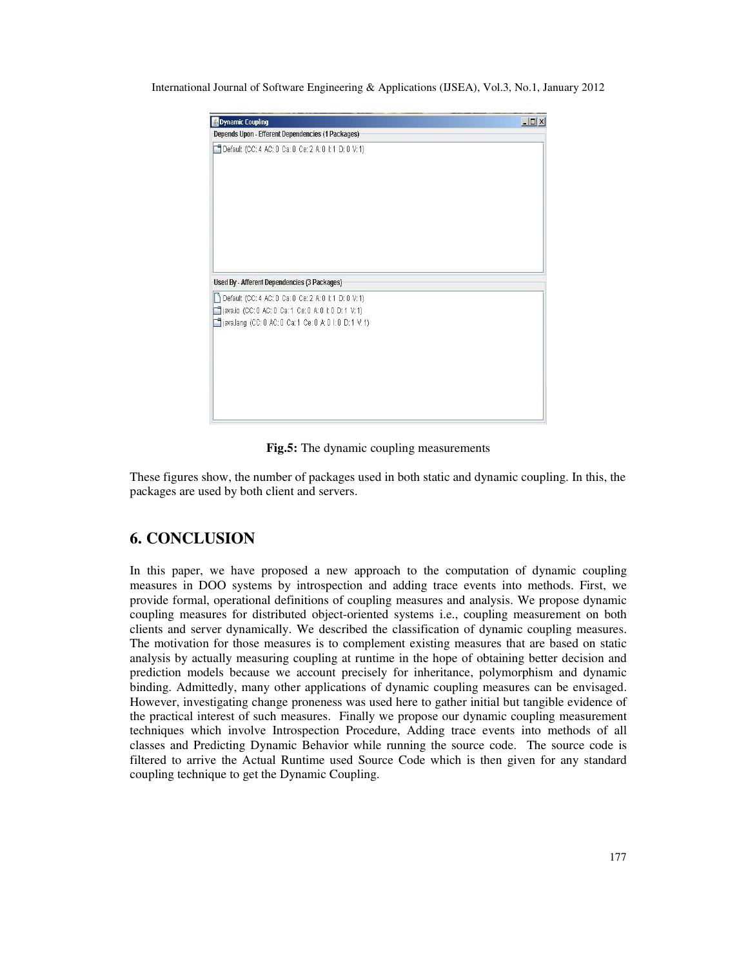

**Fig.5:** The dynamic coupling measurements

These figures show, the number of packages used in both static and dynamic coupling. In this, the packages are used by both client and servers.

# **6. CONCLUSION**

In this paper, we have proposed a new approach to the computation of dynamic coupling measures in DOO systems by introspection and adding trace events into methods. First, we provide formal, operational definitions of coupling measures and analysis. We propose dynamic coupling measures for distributed object-oriented systems i.e., coupling measurement on both clients and server dynamically. We described the classification of dynamic coupling measures. The motivation for those measures is to complement existing measures that are based on static analysis by actually measuring coupling at runtime in the hope of obtaining better decision and prediction models because we account precisely for inheritance, polymorphism and dynamic binding. Admittedly, many other applications of dynamic coupling measures can be envisaged. However, investigating change proneness was used here to gather initial but tangible evidence of the practical interest of such measures. Finally we propose our dynamic coupling measurement techniques which involve Introspection Procedure, Adding trace events into methods of all classes and Predicting Dynamic Behavior while running the source code. The source code is filtered to arrive the Actual Runtime used Source Code which is then given for any standard coupling technique to get the Dynamic Coupling.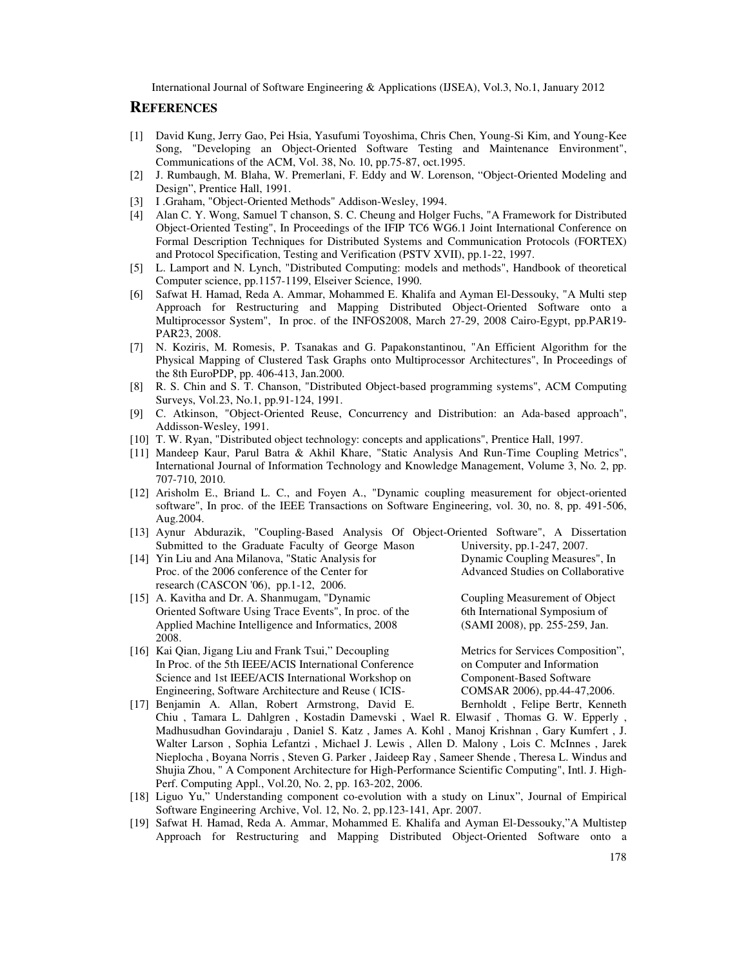### **REFERENCES**

- [1] David Kung, Jerry Gao, Pei Hsia, Yasufumi Toyoshima, Chris Chen, Young-Si Kim, and Young-Kee Song, "Developing an Object-Oriented Software Testing and Maintenance Environment", Communications of the ACM, Vol. 38, No. 10, pp.75-87, oct.1995.
- [2] J. Rumbaugh, M. Blaha, W. Premerlani, F. Eddy and W. Lorenson, "Object-Oriented Modeling and Design", Prentice Hall, 1991.
- [3] I .Graham, "Object-Oriented Methods" Addison-Wesley, 1994.
- [4] Alan C. Y. Wong, Samuel T chanson, S. C. Cheung and Holger Fuchs, "A Framework for Distributed Object-Oriented Testing", In Proceedings of the IFIP TC6 WG6.1 Joint International Conference on Formal Description Techniques for Distributed Systems and Communication Protocols (FORTEX) and Protocol Specification, Testing and Verification (PSTV XVII), pp.1-22, 1997.
- [5] L. Lamport and N. Lynch, "Distributed Computing: models and methods", Handbook of theoretical Computer science, pp.1157-1199, Elseiver Science, 1990.
- [6] Safwat H. Hamad, Reda A. Ammar, Mohammed E. Khalifa and Ayman El-Dessouky, "A Multi step Approach for Restructuring and Mapping Distributed Object-Oriented Software onto a Multiprocessor System", In proc. of the INFOS2008, March 27-29, 2008 Cairo-Egypt, pp.PAR19- PAR23, 2008.
- [7] N. Koziris, M. Romesis, P. Tsanakas and G. Papakonstantinou, "An Efficient Algorithm for the Physical Mapping of Clustered Task Graphs onto Multiprocessor Architectures", In Proceedings of the 8th EuroPDP, pp. 406-413, Jan.2000.
- [8] R. S. Chin and S. T. Chanson, "Distributed Object-based programming systems", ACM Computing Surveys, Vol.23, No.1, pp.91-124, 1991.
- [9] C. Atkinson, "Object-Oriented Reuse, Concurrency and Distribution: an Ada-based approach", Addisson-Wesley, 1991.
- [10] T. W. Ryan, "Distributed object technology: concepts and applications", Prentice Hall, 1997.
- [11] Mandeep Kaur, Parul Batra & Akhil Khare, "Static Analysis And Run-Time Coupling Metrics", International Journal of Information Technology and Knowledge Management, Volume 3, No. 2, pp. 707-710, 2010.
- [12] Arisholm E., Briand L. C., and Foyen A., "Dynamic coupling measurement for object-oriented software", In proc. of the IEEE Transactions on Software Engineering, vol. 30, no. 8, pp. 491-506, Aug.2004.
- [13] Aynur Abdurazik, "Coupling-Based Analysis Of Object-Oriented Software", A Dissertation Submitted to the Graduate Faculty of George Mason University, pp.1-247, 2007.
- [14] Yin Liu and Ana Milanova, "Static Analysis for Dynamic Coupling Measures", In Proc. of the 2006 conference of the Center for research (CASCON '06), pp.1-12, 2006.
- [15] A. Kavitha and Dr. A. Shanmugam, "Dynamic Coupling Measurement of Object Oriented Software Using Trace Events", In proc. of the 6th International Symposium of Applied Machine Intelligence and Informatics, 2008 (SAMI 2008), pp. 255-259, Jan. Applied Machine Intelligence and Informatics, 2008 2008.
- [16] Kai Qian, Jigang Liu and Frank Tsui," Decoupling Metrics for Services Composition", In Proc. of the 5th IEEE/ACIS International Conference on Computer and Information Science and 1st IEEE/ACIS International Workshop on Component-Based Software<br>Engineering, Software Architecture and Reuse (ICIS-<br>COMSAR 2006), pp.44-47,2006. Engineering, Software Architecture and Reuse (ICIS-
- [17] Benjamin A. Allan, Robert Armstrong, David E. Bernholdt , Felipe Bertr, Kenneth Chiu , Tamara L. Dahlgren , Kostadin Damevski , Wael R. Elwasif , Thomas G. W. Epperly , Madhusudhan Govindaraju , Daniel S. Katz , James A. Kohl , Manoj Krishnan , Gary Kumfert , J. Walter Larson , Sophia Lefantzi , Michael J. Lewis , Allen D. Malony , Lois C. McInnes , Jarek Nieplocha , Boyana Norris , Steven G. Parker , Jaideep Ray , Sameer Shende , Theresa L. Windus and Shujia Zhou, " A Component Architecture for High-Performance Scientific Computing", Intl. J. High-Perf. Computing Appl., Vol.20, No. 2, pp. 163-202, 2006.
- [18] Liguo Yu," Understanding component co-evolution with a study on Linux", Journal of Empirical Software Engineering Archive, Vol. 12, No. 2, pp.123-141, Apr. 2007.
- [19] Safwat H. Hamad, Reda A. Ammar, Mohammed E. Khalifa and Ayman El-Dessouky,"A Multistep Approach for Restructuring and Mapping Distributed Object-Oriented Software onto a